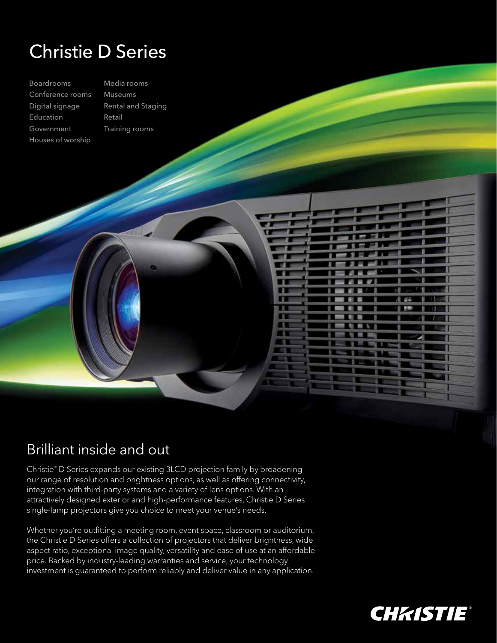## Christie D Series

Boardrooms Conference rooms Digital signage Education Government Houses of worship

Media rooms Museums Rental and Staging Retail Training rooms

## Brilliant inside and out

Christie® D Series expands our existing 3LCD projection family by broadening our range of resolution and brightness options, as well as offering connectivity, integration with third-party systems and a variety of lens options. With an attractively designed exterior and high-performance features, Christie D Series single-lamp projectors give you choice to meet your venue's needs.

. . m m

> $\mathbb{R}$ m

Whether you're outfitting a meeting room, event space, classroom or auditorium, the Christie D Series offers a collection of projectors that deliver brightness, wide aspect ratio, exceptional image quality, versatility and ease of use at an affordable price. Backed by industry-leading warranties and service, your technology investment is guaranteed to perform reliably and deliver value in any application.



8.44

۰ 需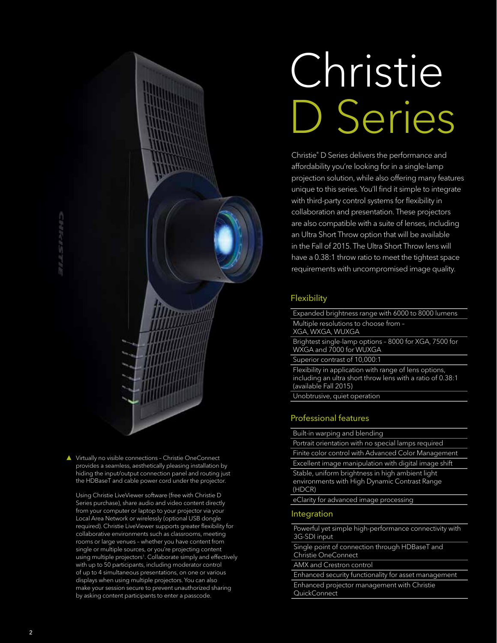# Christie D Series

Christie® D Series delivers the performance and affordability you're looking for in a single-lamp projection solution, while also offering many features unique to this series. You'll find it simple to integrate with third-party control systems for flexibility in collaboration and presentation. These projectors are also compatible with a suite of lenses, including an Ultra Short Throw option that will be available in the Fall of 2015. The Ultra Short Throw lens will have a 0.38:1 throw ratio to meet the tightest space requirements with uncompromised image quality.

#### **Flexibility**

Expanded brightness range with 6000 to 8000 lumens Multiple resolutions to choose from – XGA, WXGA, WUXGA

Brightest single-lamp options – 8000 for XGA, 7500 for WXGA and 7000 for WUXGA

Superior contrast of 10,000:1

Flexibility in application with range of lens options, including an ultra short throw lens with a ratio of 0.38:1 (available Fall 2015)

Unobtrusive, quiet operation

#### Professional features

Built-in warping and blending

Portrait orientation with no special lamps required Finite color control with Advanced Color Management Excellent image manipulation with digital image shift Stable, uniform brightness in high ambient light environments with High Dynamic Contrast Range (HDCR)

eClarity for advanced image processing

#### Integration

Powerful yet simple high-performance connectivity with 3G-SDI input

Single point of connection through HDBaseT and Christie OneConnect

AMX and Crestron control

Enhanced security functionality for asset management Enhanced projector management with Christie **QuickConnect** 

▲ Virtually no visible connections - Christie OneConnect provides a seamless, aesthetically pleasing installation by hiding the input/output connection panel and routing just the HDBaseT and cable power cord under the projector.

 Using Christie LiveViewer software (free with Christie D Series purchase), share audio and video content directly from your computer or laptop to your projector via your Local Area Network or wirelessly (optional USB dongle required). Christie LiveViewer supports greater flexibility for collaborative environments such as classrooms, meeting rooms or large venues – whether you have content from single or multiple sources, or you're projecting content using multiple projectors<sup>1</sup>. Collaborate simply and effectively with up to 50 participants, including moderator control of up to 4 simultaneous presentations, on one or various displays when using multiple projectors. You can also make your session secure to prevent unauthorized sharing by asking content participants to enter a passcode.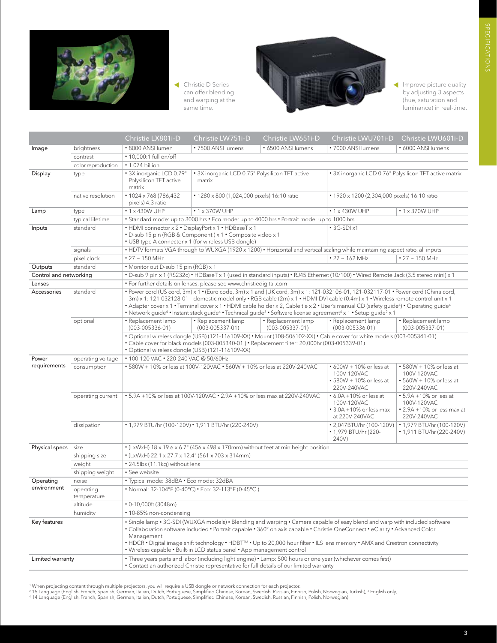

 Christie D Series can offer blending and warping at the same time.



Improve picture quality by adjusting 3 aspects (hue, saturation and luminance) in real-time.

|                          |                          | Christie LX801i-D                                                                                                                                                                                                                                                                                                                                                                                                                                                                                                                                                                                                       | Christie LW751i-D                                                                                                              | Christie LW651i-D                                                                          | Christie LWU701i-D                                                               | Christie LWU601i-D                                                                       |
|--------------------------|--------------------------|-------------------------------------------------------------------------------------------------------------------------------------------------------------------------------------------------------------------------------------------------------------------------------------------------------------------------------------------------------------------------------------------------------------------------------------------------------------------------------------------------------------------------------------------------------------------------------------------------------------------------|--------------------------------------------------------------------------------------------------------------------------------|--------------------------------------------------------------------------------------------|----------------------------------------------------------------------------------|------------------------------------------------------------------------------------------|
| Image                    | brightness               | · 8000 ANSI lumen                                                                                                                                                                                                                                                                                                                                                                                                                                                                                                                                                                                                       | • 7500 ANSI lumens                                                                                                             | • 6500 ANSI lumens                                                                         | • 7000 ANSI lumens                                                               | • 6000 ANSI lumens                                                                       |
|                          | contrast                 | • 10,000:1 full on/off                                                                                                                                                                                                                                                                                                                                                                                                                                                                                                                                                                                                  |                                                                                                                                |                                                                                            |                                                                                  |                                                                                          |
|                          | color reproduction       | • 1.074 billion                                                                                                                                                                                                                                                                                                                                                                                                                                                                                                                                                                                                         |                                                                                                                                |                                                                                            |                                                                                  |                                                                                          |
| Display                  | type                     | • 3X inorganic LCD 0.79"<br>Polysilicon TFT active<br>matrix                                                                                                                                                                                                                                                                                                                                                                                                                                                                                                                                                            | • 3X inorganic LCD 0.75" Polysilicon TFT active<br>matrix                                                                      |                                                                                            | • 3X inorganic LCD 0.76" Polysilicon TFT active matrix                           |                                                                                          |
|                          | native resolution        | $*1024 \times 768(786,432)$<br>pixels) 4:3 ratio                                                                                                                                                                                                                                                                                                                                                                                                                                                                                                                                                                        | • 1280 x 800 (1,024,000 pixels) 16:10 ratio                                                                                    |                                                                                            | • 1920 x 1200 (2,304,000 pixels) 16:10 ratio                                     |                                                                                          |
| Lamp                     | type                     | $\cdot$ 1 x 430W UHP                                                                                                                                                                                                                                                                                                                                                                                                                                                                                                                                                                                                    | $\cdot$ 1 x 370W UHP                                                                                                           |                                                                                            | $\cdot$ 1 x 430W UHP                                                             | $\cdot$ 1 x 370W UHP                                                                     |
|                          | typical lifetime         |                                                                                                                                                                                                                                                                                                                                                                                                                                                                                                                                                                                                                         |                                                                                                                                | • Standard mode: up to 3000 hrs • Eco mode: up to 4000 hrs • Portrait mode: up to 1000 hrs |                                                                                  |                                                                                          |
| Inputs                   | standard                 | • HDMI connector x 2 • DisplayPort x 1 • HDBaseT x 1<br>• USB type A connector x 1 (for wireless USB dongle)                                                                                                                                                                                                                                                                                                                                                                                                                                                                                                            | • D-sub 15 pin (RGB & Component) x 1 • Composite video x 1                                                                     |                                                                                            | $\cdot$ 3G-SDI $\times$ 1                                                        |                                                                                          |
|                          | signals                  |                                                                                                                                                                                                                                                                                                                                                                                                                                                                                                                                                                                                                         | • HDTV formats VGA through to WUXGA (1920 x 1200) • Horizontal and vertical scaling while maintaining aspect ratio, all inputs |                                                                                            |                                                                                  |                                                                                          |
|                          | pixel clock              | $\cdot$ 27 $\sim$ 150 MHz                                                                                                                                                                                                                                                                                                                                                                                                                                                                                                                                                                                               |                                                                                                                                |                                                                                            | $\cdot$ 27 $\sim$ 162 MHz<br>$\cdot$ 27 $\sim$ 150 MHz                           |                                                                                          |
| Outputs                  | standard                 | · Monitor out D-sub 15 pin (RGB) x 1                                                                                                                                                                                                                                                                                                                                                                                                                                                                                                                                                                                    |                                                                                                                                |                                                                                            |                                                                                  |                                                                                          |
| Control and networking   |                          | • D-sub 9 pin x 1 (RS232c) • HDBaseT x 1 (used in standard inputs) • RJ45 Ethernet (10/100) • Wired Remote Jack (3.5 stereo mini) x 1                                                                                                                                                                                                                                                                                                                                                                                                                                                                                   |                                                                                                                                |                                                                                            |                                                                                  |                                                                                          |
| Lenses                   |                          | · For further details on lenses, please see www.christiedigital.com                                                                                                                                                                                                                                                                                                                                                                                                                                                                                                                                                     |                                                                                                                                |                                                                                            |                                                                                  |                                                                                          |
| Accessories              | standard                 | . Power cord (US cord, 3m) x 1 . (Euro code, 3m) x 1 and (UK cord, 3m) x 1: 121-032106-01, 121-032117-01 . Power cord (China cord,<br>3m) x 1: 121-032128-01 - domestic model only • RGB cable (2m) x 1 • HDMI-DVI cable (0.4m) x 1 • Wireless remote control unit x 1<br>* Adapter cover x 1 * Terminal cover x 1 * HDMI cable holder x 2, Cable tie x 2 * User's manual CD (safety guide <sup>4</sup> ) * Operating guide <sup>4</sup><br>• Network guide <sup>4</sup> • Instant stack guide <sup>4</sup> • Technical guide <sup>3</sup> • Software license agreement <sup>4</sup> x 1 • Setup guide <sup>2</sup> x 1 |                                                                                                                                |                                                                                            |                                                                                  |                                                                                          |
|                          | optional                 | · Replacement lamp<br>$(003 - 005336 - 01)$                                                                                                                                                                                                                                                                                                                                                                                                                                                                                                                                                                             | · Replacement lamp<br>$(003 - 005337 - 01)$                                                                                    | • Replacement lamp<br>$(003 - 005337 - 01)$                                                | • Replacement lamp<br>$(003 - 005336 - 01)$                                      | • Replacement lamp<br>$(003 - 005337 - 01)$                                              |
|                          |                          | · Optional wireless dongle (USB) (121-116109-XX) • Mount (108-506102-XX) • Cable cover for white models (003-005341-01)<br>• Cable cover for black models (003-005340-01) • Replacement filter: 20,000hr (003-005339-01)<br>· Optional wireless dongle (USB) (121-116109-XX)                                                                                                                                                                                                                                                                                                                                            |                                                                                                                                |                                                                                            |                                                                                  |                                                                                          |
| Power<br>requirements    | operating voltage        | • 100-120 VAC • 220-240 VAC @ 50/60Hz                                                                                                                                                                                                                                                                                                                                                                                                                                                                                                                                                                                   |                                                                                                                                |                                                                                            |                                                                                  |                                                                                          |
|                          | consumption              | • 580W + 10% or less at 100V-120VAC • 560W + 10% or less at 220V-240VAC                                                                                                                                                                                                                                                                                                                                                                                                                                                                                                                                                 |                                                                                                                                |                                                                                            | • 600W + 10% or less at<br>100V-120VAC<br>• 580W + 10% or less at<br>220V-240VAC | • 580W + 10% or less at<br>100V-120VAC<br>$\cdot$ 560W + 10% or less at<br>220V-240VAC   |
|                          | operating current        |                                                                                                                                                                                                                                                                                                                                                                                                                                                                                                                                                                                                                         | • 5.9A +10% or less at 100V-120VAC • 2.9A +10% or less max at 220V-240VAC                                                      |                                                                                            |                                                                                  | $\cdot$ 5.9A +10% or less at<br>100V-120VAC<br>• 2.9A +10% or less max at<br>220V-240VAC |
|                          | dissipation              |                                                                                                                                                                                                                                                                                                                                                                                                                                                                                                                                                                                                                         | • 1,979 BTU/hr (100-120V) • 1,911 BTU/hr (220-240V)                                                                            |                                                                                            | • 2,047BTU/hr (100-120V)<br>• 1,979 BTU/hr (220-<br>240V)                        | • 1,979 BTU/hr (100-120V)<br>• 1,911 BTU/hr (220-240V)                                   |
| Physical specs           | size                     | • (LxWxH) 18 x 19.6 x 6.7" (456 x 498 x 170mm) without feet at min height position                                                                                                                                                                                                                                                                                                                                                                                                                                                                                                                                      |                                                                                                                                |                                                                                            |                                                                                  |                                                                                          |
|                          | shipping size            | $\bullet$ (LxWxH) 22.1 x 27.7 x 12.4" (561 x 703 x 314mm)                                                                                                                                                                                                                                                                                                                                                                                                                                                                                                                                                               |                                                                                                                                |                                                                                            |                                                                                  |                                                                                          |
|                          | weight                   | • 24.5lbs (11.1kg) without lens                                                                                                                                                                                                                                                                                                                                                                                                                                                                                                                                                                                         |                                                                                                                                |                                                                                            |                                                                                  |                                                                                          |
|                          | shipping weight          | • See website                                                                                                                                                                                                                                                                                                                                                                                                                                                                                                                                                                                                           |                                                                                                                                |                                                                                            |                                                                                  |                                                                                          |
| Operating<br>environment | noise                    | · Typical mode: 38dBA · Eco mode: 32dBA                                                                                                                                                                                                                                                                                                                                                                                                                                                                                                                                                                                 |                                                                                                                                |                                                                                            |                                                                                  |                                                                                          |
|                          | operating<br>temperature | • Normal: 32-104°F (0-40°C) • Eco: 32-113°F (0-45°C)                                                                                                                                                                                                                                                                                                                                                                                                                                                                                                                                                                    |                                                                                                                                |                                                                                            |                                                                                  |                                                                                          |
|                          | altitude                 | • 0-10,000ft (3048m)                                                                                                                                                                                                                                                                                                                                                                                                                                                                                                                                                                                                    |                                                                                                                                |                                                                                            |                                                                                  |                                                                                          |
|                          | humidity                 | • 10-85% non-condensing                                                                                                                                                                                                                                                                                                                                                                                                                                                                                                                                                                                                 |                                                                                                                                |                                                                                            |                                                                                  |                                                                                          |
| Key features             |                          | • Single lamp • 3G-SDI (WUXGA models) • Blending and warping • Camera capable of easy blend and warp with included software<br>. Collaboration software included . Portrait capable . 360° on axis capable . Christie OneConnect . eClarity . Advanced Color<br>Management<br>• HDCR • Digital image shift technology • HDBT <sup>M</sup> • Up to 20,000 hour filter • ILS lens memory • AMX and Crestron connectivity<br>• Wireless capable • Built-in LCD status panel • App management control                                                                                                                       |                                                                                                                                |                                                                                            |                                                                                  |                                                                                          |
| Limited warranty         |                          | . Three years parts and labor (including light engine) • Lamp: 500 hours or one year (whichever comes first)<br>• Contact an authorized Christie representative for full details of our limited warranty                                                                                                                                                                                                                                                                                                                                                                                                                |                                                                                                                                |                                                                                            |                                                                                  |                                                                                          |

<sup>1</sup> When projecting content through multiple projectors, you will require a USB dongle or network connection for each projector.<br><sup>2</sup> 15 Language (English, French, Spanish, German, Italian, Dutch, Portuguese, Simplified Chi